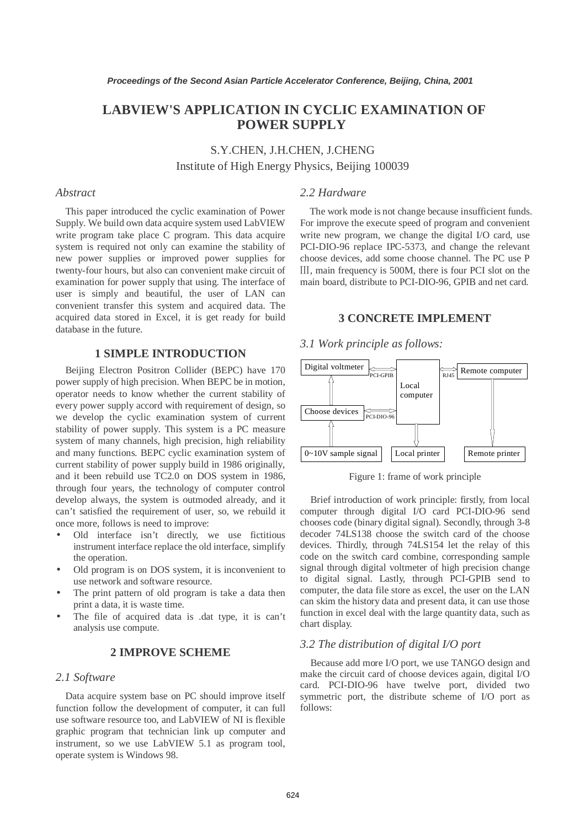# **LABVIEW'S APPLICATION IN CYCLIC EXAMINATION OF POWER SUPPLY**

S.Y.CHEN, J.H.CHEN, J.CHENG Institute of High Energy Physics, Beijing 100039

#### *Abstract*

This paper introduced the cyclic examination of Power Supply. We build own data acquire system used LabVIEW write program take place C program. This data acquire system is required not only can examine the stability of new power supplies or improved power supplies for twenty-four hours, but also can convenient make circuit of examination for power supply that using. The interface of user is simply and beautiful, the user of LAN can convenient transfer this system and acquired data. The acquired data stored in Excel, it is get ready for build database in the future.

# **1 SIMPLE INTRODUCTION**

Beijing Electron Positron Collider (BEPC) have 170 power supply of high precision. When BEPC be in motion, operator needs to know whether the current stability of every power supply accord with requirement of design, so we develop the cyclic examination system of current stability of power supply. This system is a PC measure system of many channels, high precision, high reliability and many functions. BEPC cyclic examination system of current stability of power supply build in 1986 originally, and it been rebuild use TC2.0 on DOS system in 1986, through four years, the technology of computer control develop always, the system is outmoded already, and it can't satisfied the requirement of user, so, we rebuild it once more, follows is need to improve:

- Old interface isn't directly, we use fictitious instrument interface replace the old interface, simplify the operation.
- Old program is on DOS system, it is inconvenient to use network and software resource.
- The print pattern of old program is take a data then print a data, it is waste time.
- The file of acquired data is .dat type, it is can't analysis use compute.

### **2 IMPROVE SCHEME**

#### *2.1 Software*

Data acquire system base on PC should improve itself function follow the development of computer, it can full use software resource too, and LabVIEW of NI is flexible graphic program that technician link up computer and instrument, so we use LabVIEW 5.1 as program tool, operate system is Windows 98.

### *2.2 Hardware*

The work mode is not change because insufficient funds. For improve the execute speed of program and convenient write new program, we change the digital I/O card, use PCI-DIO-96 replace IPC-5373, and change the relevant choose devices, add some choose channel. The PC use P Ⅲ, main frequency is 500M, there is four PCI slot on the main board, distribute to PCI-DIO-96, GPIB and net card.

### **3 CONCRETE IMPLEMENT**

#### *3.1 Work principle as follows:*



Figure 1: frame of work principle

Brief introduction of work principle: firstly, from local computer through digital I/O card PCI-DIO-96 send chooses code (binary digital signal). Secondly, through 3-8 decoder 74LS138 choose the switch card of the choose devices. Thirdly, through 74LS154 let the relay of this code on the switch card combine, corresponding sample signal through digital voltmeter of high precision change to digital signal. Lastly, through PCI-GPIB send to computer, the data file store as excel, the user on the LAN can skim the history data and present data, it can use those function in excel deal with the large quantity data, such as chart display.

#### *3.2 The distribution of digital I/O port*

Because add more I/O port, we use TANGO design and make the circuit card of choose devices again, digital I/O card. PCI-DIO-96 have twelve port, divided two symmetric port, the distribute scheme of I/O port as follows: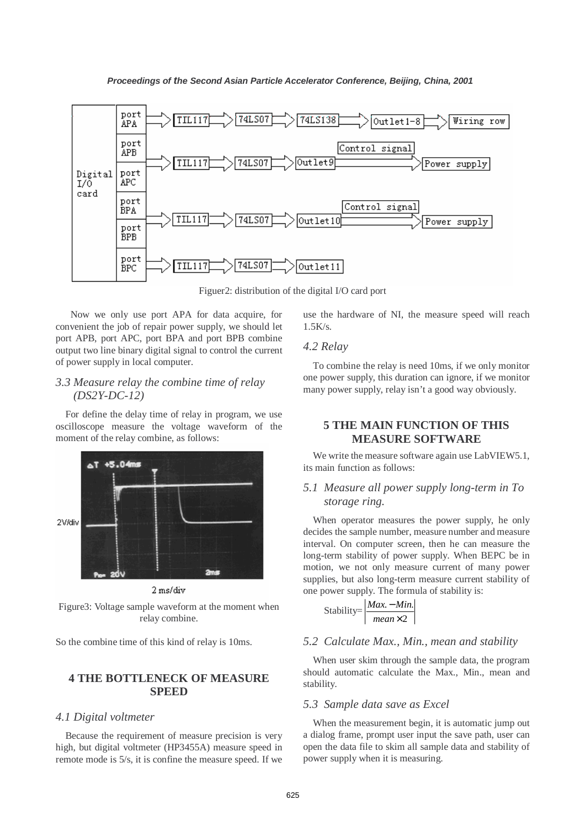

Figuer2: distribution of the digital I/O card port

 Now we only use port APA for data acquire, for convenient the job of repair power supply, we should let port APB, port APC, port BPA and port BPB combine output two line binary digital signal to control the current of power supply in local computer.

# *3.3 Measure relay the combine time of relay (DS2Y-DC-12)*

For define the delay time of relay in program, we use oscilloscope measure the voltage waveform of the moment of the relay combine, as follows:



2 ms/div

Figure3: Voltage sample waveform at the moment when relay combine.

So the combine time of this kind of relay is 10ms.

# **4 THE BOTTLENECK OF MEASURE SPEED**

#### *4.1 Digital voltmeter*

Because the requirement of measure precision is very high, but digital voltmeter (HP3455A) measure speed in remote mode is 5/s, it is confine the measure speed. If we

use the hardware of NI, the measure speed will reach  $1.5K/s.$ 

### *4.2 Relay*

To combine the relay is need 10ms, if we only monitor one power supply, this duration can ignore, if we monitor many power supply, relay isn't a good way obviously.

# **5 THE MAIN FUNCTION OF THIS MEASURE SOFTWARE**

We write the measure software again use LabVIEW5.1, its main function as follows:

# *5.1 Measure all power supply long-term in To storage ring.*

When operator measures the power supply, he only decides the sample number, measure number and measure interval. On computer screen, then he can measure the long-term stability of power supply. When BEPC be in motion, we not only measure current of many power supplies, but also long-term measure current stability of one power supply. The formula of stability is:

Stability=
$$
\frac{|Max - Min.|}{mean \times 2}
$$

## *5.2 Calculate Max., Min., mean and stability*

When user skim through the sample data, the program should automatic calculate the Max., Min., mean and stability.

#### *5.3 Sample data save as Excel*

When the measurement begin, it is automatic jump out a dialog frame, prompt user input the save path, user can open the data file to skim all sample data and stability of power supply when it is measuring.